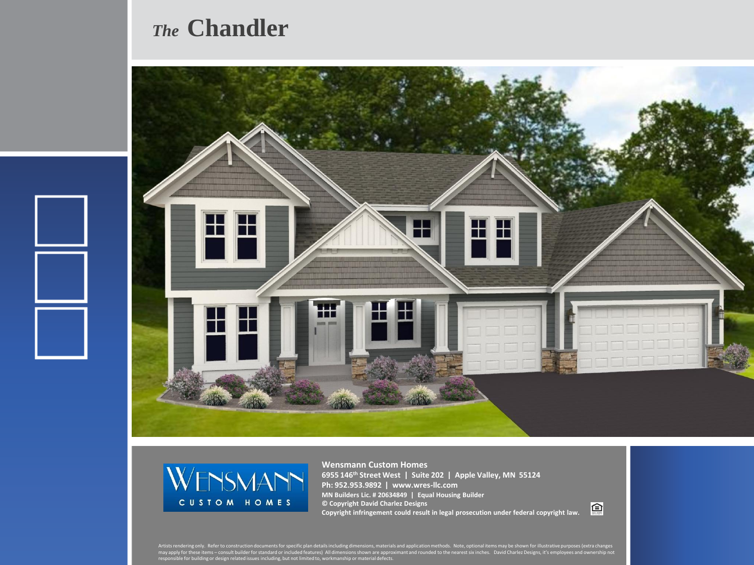## *The* **Chandler**





**Wensmann Custom Homes 6955 146th Street West | Suite 202 | Apple Valley, MN 55124 Ph: 952.953.9892 | www.wres-llc.com MN Builders Lic. # 20634849 | Equal Housing Builder © Copyright David Charlez Designs Copyright infringement could result in legal prosecution under federal copyright law.**

回

Artists rendering only. Refer to construction documents for specific plan details including dimensions, materials and application methods. Note, optional items may be shown for illustrative purposes (extra changes<br>may appl